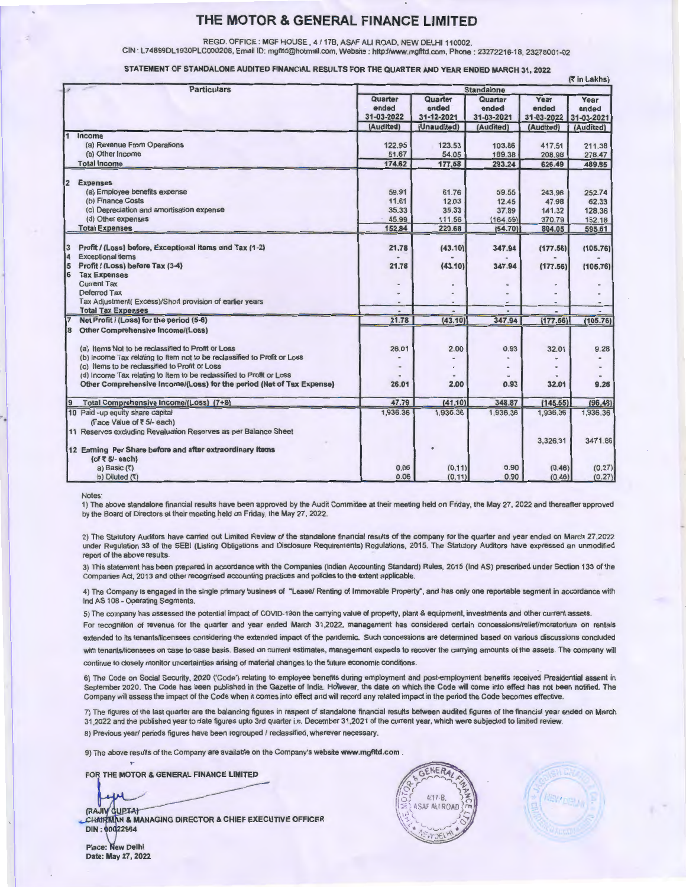REGD. OFFICE : MGF HOUSE , 4 / 17B, ASAF ALI ROAD, NEW DELHI 110002.

CIN : L74899DL 1930PLC000208, Email ID: mgntd@hotmail.com, Website : http://www.mgfltd.com, Phone : 23272216-18, 23278001-02

STATEMENT OF STANDALONE AUDITED FINANCIAL RESULTS FOR THE QUARTER AND YEAR ENDED MARCH 31, 2022

|              | <b>Particulars</b>                                                                   | (र in Lakhs)<br><b>Standalone</b>           |                                               |                                             |                                          |                                          |
|--------------|--------------------------------------------------------------------------------------|---------------------------------------------|-----------------------------------------------|---------------------------------------------|------------------------------------------|------------------------------------------|
|              |                                                                                      | Quarter<br>ended<br>31-03-2022<br>(Audited) | Quarter<br>ended<br>31-12-2021<br>(Unaudited) | Quarter<br>ended<br>31-03-2021<br>(Audited) | Year<br>ended<br>31-03-2022<br>(Audited) | Year<br>ended<br>31-03-2021<br>(Audited) |
|              | Income                                                                               |                                             |                                               |                                             |                                          |                                          |
|              | (a) Revenue From Operations                                                          | 122.95                                      | 123.53                                        | 103.86                                      | 417.51                                   | 211.38                                   |
|              | (b) Other Income                                                                     | 51.67                                       | 54.05                                         | 189.38                                      | 208.98                                   | 278.47                                   |
|              | <b>Total Income</b>                                                                  | 174.62                                      | 177.58                                        | 293.24                                      | 626.49                                   | 489.85                                   |
| $\mathbf{2}$ | <b>Expenses</b>                                                                      |                                             |                                               |                                             |                                          |                                          |
|              | (a) Employee benefits expense                                                        | 59.91                                       | 61.76                                         | 59.55                                       | 243.96                                   | 252.74                                   |
|              | (b) Finance Costs                                                                    | 11,61                                       | 12.03                                         | 12.45                                       | 47,98                                    | 62.33                                    |
|              | (c) Depreciation and amortisation expense                                            | 35.33                                       | 35,33                                         | 37,89                                       | 141.32                                   | 128.36                                   |
|              | (d) Other expenses                                                                   | 45.99                                       | 111.56                                        | (164.59)                                    | 370.79                                   | 152.18                                   |
|              | <b>Total Expenses</b>                                                                | 152.84                                      | 220.68                                        | (54.70)                                     | 804.05                                   | 595.61                                   |
|              | Profit / (Loss) before, Exceptional items and Tax (1-2)                              | 21.78                                       | (43.10)                                       | 347.94                                      | (177.56)                                 | (105.76)                                 |
| 14           | <b>Exceptional items</b>                                                             |                                             |                                               |                                             |                                          |                                          |
| 5            | Profit / (Loss) before Tax (3-4)                                                     | 21.78                                       | (43.10)                                       | 347.94                                      | (177.56)                                 | (105.76)                                 |
| 16           | <b>Tax Expenses</b>                                                                  |                                             |                                               |                                             |                                          |                                          |
|              | <b>Current Tax</b>                                                                   |                                             |                                               |                                             |                                          |                                          |
|              | <b>Deferred Tax</b>                                                                  |                                             |                                               |                                             |                                          |                                          |
|              | Tax Adiustment(Excess)/Short provision of earlier years<br><b>Total Tax Expenses</b> |                                             |                                               |                                             |                                          |                                          |
|              | Net Profit / (Loss) for the period (5-6)                                             | 21.78                                       | (43.10)                                       | 347.94                                      | (177.56)                                 | (105.76)                                 |
| 18           | Other Comprehensive Income/(Loss)                                                    |                                             |                                               |                                             |                                          |                                          |
|              | (a) Items Not to be reclassified to Profit or Loss                                   | 26.01                                       | 2.00                                          | 0.93                                        | 32.01                                    | 9.28                                     |
|              | (b) Income Tax relating to Item not to be reclassified to Profit or Loss             |                                             |                                               |                                             |                                          |                                          |
|              | (c) Items to be reclassified to Profit or Loss                                       |                                             |                                               |                                             |                                          |                                          |
|              | (d) Income Tax relating to Item to be reclassified to Profit or Loss                 |                                             |                                               |                                             |                                          |                                          |
|              | Other Comprehensive Income/(Loss) for the period (Net of Tax Expense)                | 26.01                                       | 2.00                                          | 0.93                                        | 32.01                                    | 9.28                                     |
|              | Total Comprehensive Income/(Loss) (7+8)                                              | 47.79                                       | (41.10)                                       | 348.87                                      | (145.55)                                 | (96.48)                                  |
|              | 10 Paid -up equity share capital                                                     | 1,936.36                                    | 1,936.36                                      | 1,936.36                                    | 1,936.36                                 | 1,936.36                                 |
|              | (Face Value of ₹ 5/- each)                                                           |                                             |                                               |                                             |                                          |                                          |
|              | 11 Reserves excluding Revaluation Reserves as per Balance Sheet                      |                                             |                                               |                                             | 3,326.31                                 | 3471.86                                  |
|              | 12 Earning Per Share before and after extraordinary items                            |                                             |                                               |                                             |                                          |                                          |
|              | (of $\overline{5}$ 5/- each)                                                         | 0.06                                        | (0.11)                                        | 0.90                                        | (0.46)                                   | (0.27)                                   |
|              | a) Basic $(7)$<br>b) Diluted $(3)$                                                   | 0.06                                        | (0.11)                                        | 0.90                                        | (0.46)                                   | (0.27)                                   |
|              |                                                                                      |                                             |                                               |                                             |                                          |                                          |

Notes:

1) The above standalone financial results have been approved by the Audit Committee at their meeting held on Friday, the May 27, 2022 and thereafter approved by the Board of Directors at their meeting held on Friday, the May 27, 2022.

2) The Statutory Auditors have carried out Limited Review of the standalone financial results of the company for the quarter and year ended on March 27.2022 under Regulation 33 of the SEBI (listing Obligations and Disclosure Requirements) Regulations, 2015. The Statutory Auditors have expressed an unmodified report of the above results.

3) This statement has been prepared in accordance with the Companies (Indian Accounting Standard) Rules, 2015 (Ind AS) prescribed under Section 133 of the Companies Act, 2013 and other recognised accounting practices and policies to the extent applicable.

4) The Company is engaged in the single primary business of "Lease/ Renting of Immovable Property", and has only one reportable segment in accordance with Ind AS 108 - Operating Segments.

5) The company has assessed the potential impact of COVID-19on the carrying value of property, plant & equipment, investments and other current assets.

For recognition of revenue for the quarter and year ended March 31,2022, management has considered certain concessions/relief/moratorium on rentals extended to its tenants/licensees considering the extended impact of the pandemic. Such concessions are determined based on various discussions concluded

with tenants/licensees on case to case basis. Based on current estimates, management expects to recover the carrying amounts of the assets. The company will continue to closely monitor uncertainties arising of material changes to the future economic conditions.

6) The Code on Social Security, 2020 ('Code') relating to employee benefrts during employment and post-employment benefrts received Presidential assent in September 2020. The Code has been published in the Gazette of India. However, the date on which the Code will come into effect has not been notified. The Company will assess the impact of the Code when It comes into effect and will record any related impact in the period the Code becomes effective.

7) The figures of the last quarter are the balancing figures in respect of standalone financial results between audited figures of the financial year ended on March 31,2022 and the published year to date figures upto 3rd quarter i.e. December 31 .2021 of the current year. which were subjected to limited review.

8) Previous year/ periods figures have been regrouped / reclassified, wherever necessary.

9) The above results of the Company are available on the Company's website www.mgfltd.com .

FOR THE MOTOR & GENERAL FINANCE LIMITED

(RAJIV GUPTA)

CHAIRMAN & MANAGING DIRECTOR & CHIEF EXECUTIVE OFFICER **DIN: 00022964** 





Place: New Delhi Date: May 27, 2022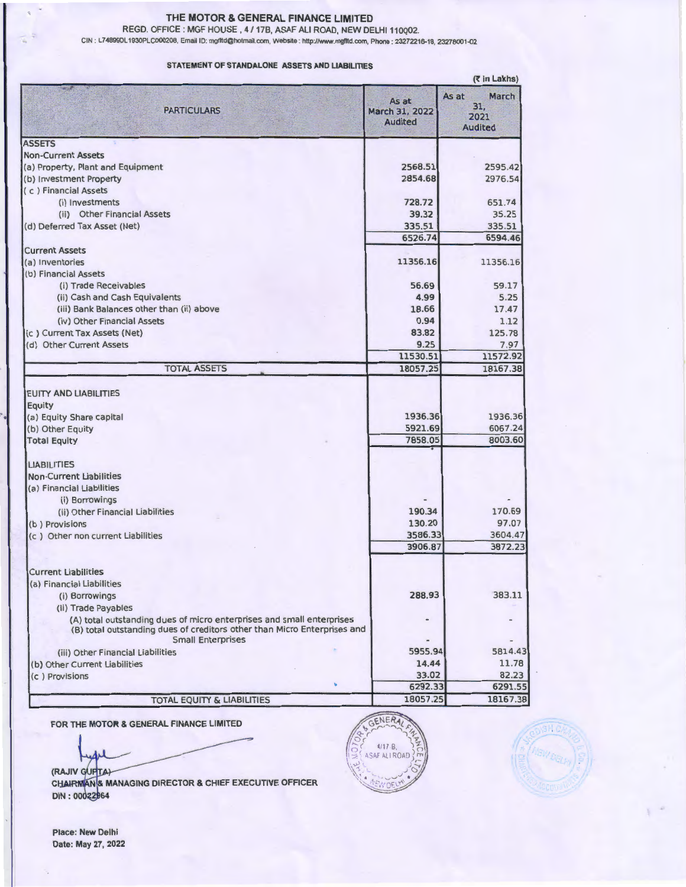REGO. OFFICE : MGF HOUSE . 4 / 178, ASAF ALI ROAD, NEW DELHI 110Q02.

CIN : L74899DL 1930PLC000208, Email ID: mgfltd@hotmail.com, Website : http://Www.mgfltd.com, Phone 23272216-18, 23278001-02

#### STATEMENT OF STANDALONE ASSETS AND LIABILITIES

|                                                                                                                                                                               | (₹ in Lakhs)                              |                                                 |  |  |  |
|-------------------------------------------------------------------------------------------------------------------------------------------------------------------------------|-------------------------------------------|-------------------------------------------------|--|--|--|
| <b>PARTICULARS</b>                                                                                                                                                            | As at<br>March 31, 2022<br><b>Audited</b> | As at<br>March<br>31.<br>2021<br><b>Audited</b> |  |  |  |
| <b>ASSETS</b>                                                                                                                                                                 |                                           |                                                 |  |  |  |
| <b>Non-Current Assets</b>                                                                                                                                                     |                                           |                                                 |  |  |  |
| (a) Property, Plant and Equipment                                                                                                                                             | 2568.51                                   | 2595.42                                         |  |  |  |
| (b) Investment Property                                                                                                                                                       | 2854.68                                   | 2976.54                                         |  |  |  |
| (c) Financial Assets                                                                                                                                                          |                                           |                                                 |  |  |  |
| (i) Investments                                                                                                                                                               | 728.72                                    | 651.74                                          |  |  |  |
| (ii) Other Financial Assets                                                                                                                                                   | 39.32                                     | 35.25                                           |  |  |  |
| (d) Deferred Tax Asset (Net)                                                                                                                                                  | 335.51<br>6526.74                         | 335.51<br>6594.46                               |  |  |  |
| <b>Current Assets</b>                                                                                                                                                         |                                           |                                                 |  |  |  |
| (a) Inventories                                                                                                                                                               | 11356.16                                  | 11356.16                                        |  |  |  |
| (b) Financial Assets                                                                                                                                                          |                                           |                                                 |  |  |  |
| (i) Trade Receivables                                                                                                                                                         | 56.69                                     | 59.17                                           |  |  |  |
| (ii) Cash and Cash Equivalents                                                                                                                                                | 4.99                                      | 5.25                                            |  |  |  |
| (iii) Bank Balances other than (ii) above                                                                                                                                     | 18.66                                     | 17.47                                           |  |  |  |
| (iv) Other Financial Assets                                                                                                                                                   | 0.94                                      | 1.12                                            |  |  |  |
| (c) Current Tax Assets (Net)                                                                                                                                                  | 83.82                                     | 125.78                                          |  |  |  |
| (d) Other Current Assets                                                                                                                                                      | 9.25                                      | 7.97                                            |  |  |  |
|                                                                                                                                                                               | 11530.51                                  | 11572.92                                        |  |  |  |
| <b>TOTAL ASSETS</b>                                                                                                                                                           | 18057.25                                  | 18167.38                                        |  |  |  |
|                                                                                                                                                                               |                                           |                                                 |  |  |  |
| <b>EUITY AND LIABILITIES</b>                                                                                                                                                  |                                           |                                                 |  |  |  |
| Equity                                                                                                                                                                        |                                           |                                                 |  |  |  |
| (a) Equity Share capital                                                                                                                                                      | 1936.36                                   | 1936.36                                         |  |  |  |
| (b) Other Equity                                                                                                                                                              | 5921.69                                   | 6067.24                                         |  |  |  |
| <b>Total Equity</b>                                                                                                                                                           | 7858.05                                   | 8003.60                                         |  |  |  |
| <b>LIABILITIES</b>                                                                                                                                                            |                                           |                                                 |  |  |  |
| <b>Non-Current Liabilities</b>                                                                                                                                                |                                           |                                                 |  |  |  |
| (a) Financial Liabilities                                                                                                                                                     |                                           |                                                 |  |  |  |
| (i) Borrowings                                                                                                                                                                |                                           |                                                 |  |  |  |
| (ii) Other Financial Liabilities                                                                                                                                              | 190.34                                    | 170.69                                          |  |  |  |
| (b) Provisions                                                                                                                                                                | 130.20                                    | 97.07                                           |  |  |  |
| (c) Other non current Liabilities                                                                                                                                             | 3586.33                                   | 3604.47                                         |  |  |  |
|                                                                                                                                                                               | 3906.87                                   | 3872.23                                         |  |  |  |
|                                                                                                                                                                               |                                           |                                                 |  |  |  |
| <b>Current Liabilities</b>                                                                                                                                                    |                                           |                                                 |  |  |  |
| (a) Financial Liabilities                                                                                                                                                     |                                           |                                                 |  |  |  |
| (i) Borrowings                                                                                                                                                                | 288.93                                    | 383.11                                          |  |  |  |
| (ii) Trade Payables                                                                                                                                                           |                                           |                                                 |  |  |  |
| (A) total outstanding dues of micro enterprises and small enterprises<br>(B) total outstanding dues of creditors other than Micro Enterprises and<br><b>Small Enterprises</b> |                                           |                                                 |  |  |  |
| (iii) Other Financial Liabilities                                                                                                                                             | 5955.94                                   | 5814.43                                         |  |  |  |
| (b) Other Current Liabilities                                                                                                                                                 | 14.44                                     | 11.78                                           |  |  |  |
| (c) Provisions                                                                                                                                                                | 33.02                                     | 82.23                                           |  |  |  |
|                                                                                                                                                                               | 6292.33                                   | 6291.55                                         |  |  |  |
| TOTAL EQUITY & LIABILITIES                                                                                                                                                    | 18057.25                                  | 18167.38                                        |  |  |  |
|                                                                                                                                                                               |                                           |                                                 |  |  |  |

FOR THE MOTOR & GENERAL FINANCE LIMITED

(RAJIV GUFTA)





N & MANAGING DIRECTOR & CHIEF EXECUTIVE OFFICER 2964

Place: New Delhi Date: May 27, 2022

.·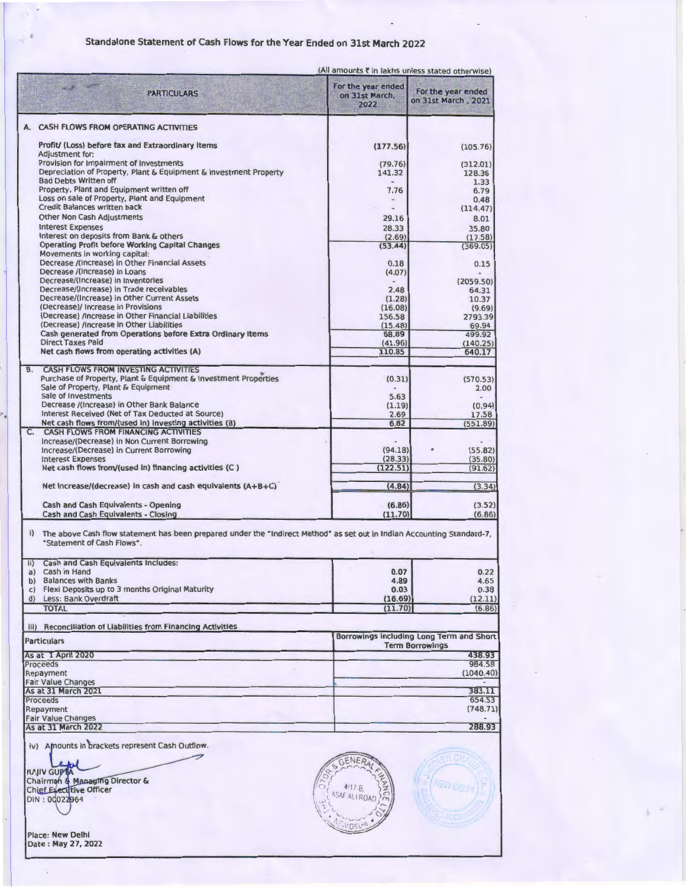## Standalone Statement of Cash Flows for the Year Ended on 31st March 2022

|                                                                                                                                                                                                                                                                                                                                   | (All amounts ₹ in lakhs unless stated otherwise) |                                                                    |
|-----------------------------------------------------------------------------------------------------------------------------------------------------------------------------------------------------------------------------------------------------------------------------------------------------------------------------------|--------------------------------------------------|--------------------------------------------------------------------|
| <b>PARTICULARS</b>                                                                                                                                                                                                                                                                                                                | For the year ended<br>on 31st March.<br>2022     | For the year ended<br>on 31st March, 2021                          |
| A. CASH FLOWS FROM OPERATING ACTIVITIES                                                                                                                                                                                                                                                                                           |                                                  |                                                                    |
| Profit/ (Loss) before tax and Extraordinary items<br>Adjustment for:                                                                                                                                                                                                                                                              | (177.56)                                         | (105.76)                                                           |
| Provision for Impairment of Investments                                                                                                                                                                                                                                                                                           | (79.76)                                          | (312.01)                                                           |
| Depreciation of Property, Plant & Equipment & Investment Property                                                                                                                                                                                                                                                                 | 141.32                                           | 128.36                                                             |
| <b>Bad Debts Written off</b><br>Property, Plant and Equipment written off                                                                                                                                                                                                                                                         |                                                  | 1.33                                                               |
| Loss on sale of Property, Plant and Equipment                                                                                                                                                                                                                                                                                     | 7.76<br>$\frac{1}{2}$                            | 6.79<br>0.48                                                       |
| <b>Credit Balances written back</b>                                                                                                                                                                                                                                                                                               |                                                  | (114.47)                                                           |
| <b>Other Non Cash Adjustments</b>                                                                                                                                                                                                                                                                                                 | 29.16                                            | 8.01                                                               |
| <b>Interest Expenses</b>                                                                                                                                                                                                                                                                                                          | 28.33                                            | 35.80                                                              |
| Interest on deposits from Bank & others                                                                                                                                                                                                                                                                                           | (2.69)                                           | (17.58)                                                            |
| <b>Operating Profit before Working Capital Changes</b>                                                                                                                                                                                                                                                                            | (53.44)                                          | (369.05)                                                           |
| Movements in working capital:                                                                                                                                                                                                                                                                                                     |                                                  |                                                                    |
| Decrease /(Increase) in Other Financial Assets                                                                                                                                                                                                                                                                                    | 0.18                                             | 0.15                                                               |
| Decrease /(Increase) in Loans<br>Decrease/(Increase) in Inventories                                                                                                                                                                                                                                                               | (4.07)                                           |                                                                    |
| Decrease/(Increase) in Trade receivables                                                                                                                                                                                                                                                                                          | 2.48                                             | (2059.50)<br>64.31                                                 |
| Decrease/(Increase) in Other Current Assets                                                                                                                                                                                                                                                                                       | (1.28)                                           | 10.37                                                              |
| (Decrease)/ Increase in Provisions                                                                                                                                                                                                                                                                                                | (16.08)                                          | (9.69)                                                             |
| (Decrease) /Increase in Other Financial Liabilities                                                                                                                                                                                                                                                                               | 156.58                                           | 2793.39                                                            |
| (Decrease) /Increase in Other Liabilities                                                                                                                                                                                                                                                                                         | (15.48)                                          | 69.94                                                              |
| Cash generated from Operations before Extra Ordinary Items                                                                                                                                                                                                                                                                        | 68.89                                            | 499.92                                                             |
| <b>Direct Taxes Paid</b>                                                                                                                                                                                                                                                                                                          | (41.96)                                          | (140.25)                                                           |
| Net cash flows from operating activities (A)                                                                                                                                                                                                                                                                                      | 110.85                                           | 640.17                                                             |
| <b>B. CASH FLOWS FROM INVESTING ACTIVITIES</b>                                                                                                                                                                                                                                                                                    |                                                  |                                                                    |
| Purchase of Property, Plant & Equipment & Investment Properties<br>Sale of Property, Plant & Equipment                                                                                                                                                                                                                            | (0.31)                                           | (570.53)<br>2.00                                                   |
| Sale of Investments                                                                                                                                                                                                                                                                                                               | 5.63                                             |                                                                    |
| Decrease /(Increase) in Other Bank Balance                                                                                                                                                                                                                                                                                        | (1.19)                                           | (0.94)                                                             |
| Interest Received (Net of Tax Deducted at Source)                                                                                                                                                                                                                                                                                 | 2.69                                             | 17.58                                                              |
| Net cash flows from/(used in) investing activities (B)                                                                                                                                                                                                                                                                            | 6.82                                             | (551.89)                                                           |
| C. CASH FLOWS FROM FINANCING ACTIVITIES<br>Increase/(Decrease) in Non Current Borrowing                                                                                                                                                                                                                                           |                                                  |                                                                    |
| Increase/(Decrease) in Current Borrowing                                                                                                                                                                                                                                                                                          | (94.18)                                          | (55.82)                                                            |
| <b>Interest Expenses</b>                                                                                                                                                                                                                                                                                                          | (28.33)                                          | (35.80)                                                            |
| Net cash flows from/(used in) flnancing activities (C)                                                                                                                                                                                                                                                                            | (122.51)                                         | (91.62)                                                            |
| Net increase/(decrease) in cash and cash equivalents $(A+B+C)$                                                                                                                                                                                                                                                                    | (4.84)                                           | (3.34)                                                             |
|                                                                                                                                                                                                                                                                                                                                   |                                                  |                                                                    |
| Cash and Cash Equivalents - Opening<br>Cash and Cash Equivalents - Closing                                                                                                                                                                                                                                                        | (6.86)<br>(11.70)                                | (3.52)<br>(6.86)                                                   |
| i) The above Cash flow statement has been prepared under the "Indirect Method" as set out in Indian Accounting Standard-7,<br>"Statement of Cash Flows".<br>ii) Cash and Cash Equivalents Includes:<br>a) Cash in Hand<br>b) Balances with Banks<br>c) Flexi Deposits up to 3 months Original Maturity<br>d) Less: Bank Overdraft | 0.07<br>4.89<br>0.03<br>(16.69)                  | 0.22<br>4.65<br>0.38<br>(12.11)                                    |
| <b>TOTAL</b>                                                                                                                                                                                                                                                                                                                      | (11.70)                                          | (6.86)                                                             |
| iii) Reconciliation of Liabilities from Financing Activities                                                                                                                                                                                                                                                                      |                                                  |                                                                    |
| <b>Particulars</b>                                                                                                                                                                                                                                                                                                                |                                                  | Borrowings including Long Term and Short<br><b>Term Borrowings</b> |
| As at 1 April 2020                                                                                                                                                                                                                                                                                                                |                                                  | 438.93                                                             |
| Proceeds                                                                                                                                                                                                                                                                                                                          |                                                  | 984.58                                                             |
| Repayment                                                                                                                                                                                                                                                                                                                         |                                                  | (1040.40)                                                          |
| <b>Fair Value Changes</b>                                                                                                                                                                                                                                                                                                         |                                                  |                                                                    |
| As at 31 March 2021<br>Proceeds                                                                                                                                                                                                                                                                                                   |                                                  | 383.11<br>654.53                                                   |
| Repayment                                                                                                                                                                                                                                                                                                                         |                                                  | (748.71)                                                           |
| <b>Fair Value Changes</b>                                                                                                                                                                                                                                                                                                         |                                                  |                                                                    |
| As at 31 March 2022                                                                                                                                                                                                                                                                                                               |                                                  | 288.93                                                             |
| iv) Amounts in brackets represent Cash Outflow.<br>RAJIV GUPTA                                                                                                                                                                                                                                                                    |                                                  |                                                                    |
| Chairman & Managing Director &                                                                                                                                                                                                                                                                                                    |                                                  |                                                                    |
| <b>Chief Executive Officer</b>                                                                                                                                                                                                                                                                                                    | $4/17 - B$                                       | <b>VEW DELL'T</b>                                                  |
| DIN: 00022964                                                                                                                                                                                                                                                                                                                     | ASAF ALIROAD                                     |                                                                    |

 $1.70$ WOELH .

Chairman & Managing Director & **r**, and the Officer **Secure of the Officer** *Secure of Managing Director &*<br>Chief Executive Officer *(ASAF ALL ROAD )*  $\overline{S}$ 

Place: **New Delhi**<br>Date : **May 27, 20**22

÷,

 $\sim$ 

 $\overline{a}$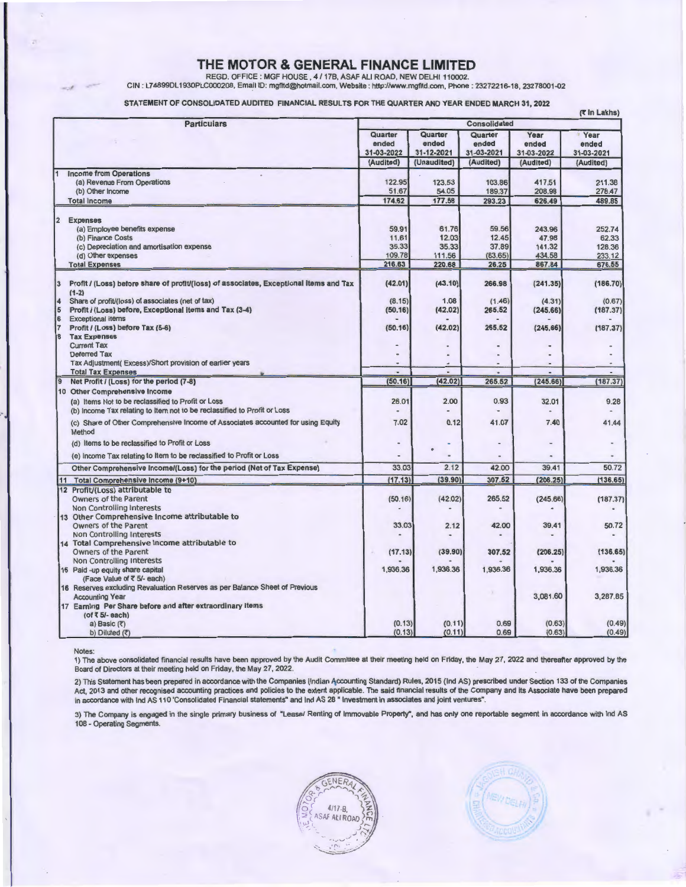REGD. OFFICE : MGF HOUSE , 4 / 17B, ASAF ALI ROAD, NEW DELHI 110002.<br>CIN : L74899DL1930PLC000208, Email ID: mgfltd@hotmail.com, Website : http://www.mgfltd.com, Phone : 23272216-18, 23278001-02

STATEMENT OF CONSOLIDATED AUDITED FINANCIAL RESULTS FOR THE QUARTER AND YEAR ENDED MARCH 31, 2022

|                | <b>Particulars</b>                                                                                |                                | (₹ In Lakhs)<br>Consolidated   |                                |                             |                                    |  |
|----------------|---------------------------------------------------------------------------------------------------|--------------------------------|--------------------------------|--------------------------------|-----------------------------|------------------------------------|--|
|                |                                                                                                   | Quarter<br>ended<br>31-03-2022 | Quarter<br>ended<br>31-12-2021 | Quarter<br>ended<br>31-03-2021 | Year<br>ended<br>31-03-2022 | <b>Year</b><br>ended<br>31-03-2021 |  |
|                |                                                                                                   | (Audited)                      | (Unaudited)                    | (Audited)                      | (Audited)                   | (Audited)                          |  |
|                | 1 Income from Operations                                                                          |                                |                                |                                |                             |                                    |  |
|                | (a) Revenue From Operations                                                                       | 122.95                         | 123.53                         | 103.86                         | 417.51                      | 211.38                             |  |
|                | (b) Other Income                                                                                  | 51.67<br>174.62                | 54.05<br>177.58                | 189.37                         | 208.98                      | 278.47<br>489.85                   |  |
|                | <b>Total Income</b>                                                                               |                                |                                | 293.23                         | 626.49                      |                                    |  |
| 2              | <b>Expenses</b>                                                                                   |                                |                                |                                |                             |                                    |  |
|                | (a) Employee benefits expense                                                                     | 59.91                          | 61.76                          | 59.56                          | 243.96                      | 252.74                             |  |
|                | (b) Finance Costs                                                                                 | 11.61                          | 12.03                          | 12.45                          | 47.98                       | 62.33                              |  |
|                | (c) Depreciation and amortisation expense                                                         | 35.33                          | 35.33                          | 37.89                          | 141.32                      | 128.36                             |  |
|                | (d) Other expenses                                                                                | 109.78                         | 111.56                         | (83.65)                        | 434.58                      | 233.12                             |  |
|                | <b>Total Expenses</b>                                                                             | 216.63                         | 220.68                         | 26.25                          | 867.84                      | 676.55                             |  |
| 3              | Profit / (Loss) before share of profit/(loss) of associates, Exceptional items and Tax<br>$(1-2)$ | (42.01)                        | (43.10)                        | 266,98                         | (241.35)                    | (186.70)                           |  |
| 4              | Share of profit/(loss) of associates (net of tax)                                                 | (8.15)                         | 1.08                           | (1.46)                         | (4.31)                      | (0.67)                             |  |
| 15             | Profit / (Loss) before, Exceptional items and Tax (3-4)                                           | (50.16)                        | (42.02)                        | 265.52                         | (245.66)                    | (187.37)                           |  |
| 6              | <b>Exceptional items</b>                                                                          |                                |                                |                                |                             |                                    |  |
| 17             | Profit / (Loss) before Tax (5-6)                                                                  | (50.16)                        | (42.02)                        | 265.52                         | (245.66)                    | (187.37)                           |  |
| 8              | <b>Tax Expenses</b>                                                                               |                                |                                |                                |                             |                                    |  |
|                | <b>Current Tax</b>                                                                                |                                |                                |                                |                             |                                    |  |
|                | Deferred Tax                                                                                      |                                |                                |                                |                             |                                    |  |
|                | Tax Adjustment(Excess)/Short provision of earlier years                                           |                                |                                |                                |                             |                                    |  |
|                | <b>Total Tax Expenses</b>                                                                         |                                |                                |                                |                             |                                    |  |
| $\overline{9}$ | Net Profit / (Loss) for the period (7-8)                                                          | (50.16)                        | (42.02)                        | 265.52                         | (245.66)                    | (187.37)                           |  |
|                | 10 Other Comprehensive Income                                                                     |                                |                                |                                |                             |                                    |  |
|                | (a) Items Not to be reclassified to Profit or Loss                                                | 26.01                          | 2.00                           | 0.93                           | 32.01                       | 9.28                               |  |
|                | (b) income Tax relating to Item not to be reclassified to Profit or Loss                          |                                |                                |                                |                             |                                    |  |
|                | (c) Share of Other Comprehensive Income of Associates accounted for using Equity<br>Method        | 7.02                           | 0.12                           | 41.07                          | 7.40                        | 41.44                              |  |
|                | (d) Items to be reclassified to Profit or Loss                                                    |                                |                                |                                |                             |                                    |  |
|                | (e) income Tax relating to Item to be reclassified to Profit or Loss                              |                                |                                |                                |                             |                                    |  |
|                | Other Comprehensive Income/(Loss) for the period (Net of Tax Expense)                             | 33.03                          | 2.12                           | 42.00                          | 39.41                       | 50.72                              |  |
|                | 11 Total Comprehensive Income (9+10)                                                              | (17.13)                        | (39.90)                        | 307.52                         | (206.25)                    | (136.65)                           |  |
|                | 12 Profit/(Loss) attributable to                                                                  |                                |                                |                                |                             |                                    |  |
|                | Owners of the Parent                                                                              | (50.16)                        | (42.02)                        | 265.52                         | (245.66)                    | (187.37)                           |  |
|                | Non Controlling Interests                                                                         |                                |                                |                                |                             |                                    |  |
|                | 13 Other Comprehensive Income attributable to                                                     |                                |                                |                                |                             |                                    |  |
|                | <b>Owners of the Parent</b>                                                                       | 33.03                          | 2.12                           | 42.00                          | 39.41                       | 50.72                              |  |
|                | <b>Non Controlling Interests</b><br>14 Total Comprehensive Income attributable to                 |                                |                                |                                |                             |                                    |  |
|                | Owners of the Parent                                                                              | (17.13)                        | (39.90)                        | 307.52                         | (206.25)                    | (136.65)                           |  |
|                | <b>Non Controlling Interests</b>                                                                  |                                |                                |                                |                             |                                    |  |
|                | 15 Paid -up equity share capital                                                                  | 1,936.36                       | 1,936.36                       | 1,936.36                       | 1,936.36                    | 1,936.36                           |  |
|                | (Face Value of ₹ 5/- each)                                                                        |                                |                                |                                |                             |                                    |  |
|                | 16 Reserves excluding Revaluation Reserves as per Balance Sheet of Previous                       |                                |                                |                                |                             |                                    |  |
|                | <b>Accounting Year</b>                                                                            |                                |                                |                                | 3,081.60                    | 3,287.85                           |  |
|                | 17 Earning Per Share before and after extraordinary items                                         |                                |                                |                                |                             |                                    |  |
|                | (of ₹ 5/- each)                                                                                   |                                |                                |                                |                             |                                    |  |
|                | a) Basic $(3)$                                                                                    | (0.13)                         | (0.11)                         | 0.69                           | (0.63)                      | (0.49)                             |  |
|                | b) Diluted $(3)$                                                                                  | (0.13)                         | (0.11)                         | 0.69                           | (0.63)                      | (0.49)                             |  |

Notes:

1) The above consolidated financial results have been approved by the Audit Committee at their meeting held on Friday, the May 27, 2022 and thereafter approved by the Board of Directors at their meeting held on Friday, the May 27, 2022.

2) This Statement has been prepared in accordance with the Companies (Indian Accounting Standard) Rules, 2015 (Ind AS) prescribed under Section 133 of the Companies Act, 2013 and other recognised accounting practices and policies to the extent applicable. The said financial results of the Company and its Associate have been prepared<br>in accordance with Ind AS 110 'Consolidated Financia

3) The Company is engaged in the single primary business of "Lease/ Renting of Immovable Property", and has only one reportable segment in accordance with Ind AS 108 - Operating Segments.

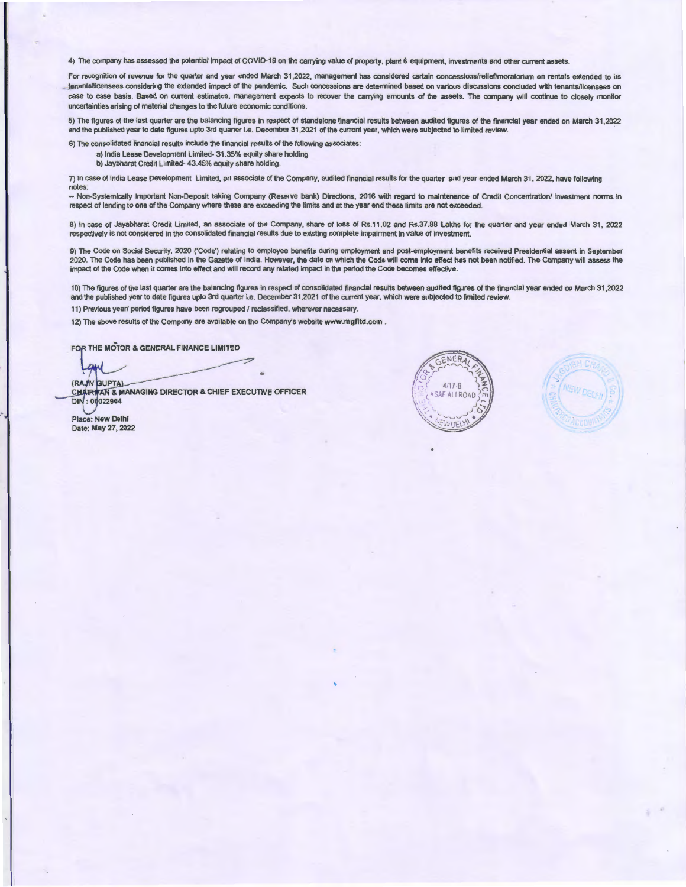4) The company has assessed the potential impact of COVID-19 on the carrying value of property, plant & equipment, investments and other current assets.

For recognition of revenue for the quarter and year ended March 31,2022, management has considered certain concessions/relief/moratorium on rentals extended to its tenants/ticensees considering the extended impact of the pandemic. Such concessions are determined based on various discussions concluded with tenants/licensees on case to case basis. Based on current estimates, management expects to recover the carrying amounts of the assets. The company will continue to closely monitor uncertainties arising of material changes to the future economic conditions.

5) The figures of the last quarter are the balancing figures in respect of standalone financial results between audited figures of the financial year ended on March 31,2022 and the published year to date figures upto 3rd quarter i.e. December 31,2021 of the current year, which were subjected to limited review.

6) The consolidated financial results include the financial results of the following associates:

a) India Lease Development Limited- 31 .35% equity share holding b) Jaybharat Credit Limited- 43.45% equity share holding.

7) In case of India Lease Development Limited, an associate of the Company, audited financial results for the quarter and year ended March 31 , 2022, have following notes:

- Non-Systemically important Non-Deposit taking Company (Reserve bank) Directions, 2016 with regard to maintenance of Credit Concentration/ Investment norms in respect of lending to one of the Company where these are exceeding the limits and at the year end these limits are not exceeded.

8) In case of Jayabharat Credit Limited, an associate of the Company, share of loss of Rs.11.02 and Rs.37.88 Lakhs for the quarter and year ended March 31 , 2022 respectively is not considered in the consolidated financial results due to existing complete impairment in value of investment.

9) The Code on Social Security, 2020 ('Code') relating to employee benefits during employment and post-employment benefits received Presidential assent in September 2020. The Code has been published in the Gazette of India. However, the date on which the Code will come into effect has not been notified. The Company will assess the impact of the Code when it comes into effect and will record any related impact in the period the Code becomes effective.

1 O) The figures of the last quarter are the balancing figures in respect of consolidated financial results between audited figures of the financial year ended on March 31,2022 and the published year to date figures upto 3rd quarter i.e. December 31 ,2021 of the current year, which were subjected to limited review.

11) Previous year/ period figures have been regrouped / reclassified, wherever necessary.

12) The above results of the Company are available on the Company's website www.mgfltd.com.

FOR THE MOTOR & GENERAL FINANCE LIMITED

(RAJIV GUPTA)

(RAJIV GUPTA)<br>CHAIRMAN & MANAGING DIRECTOR & CHIEF EXECUTIVE OFFICER<br>DIN : 00022964

Place: New Delhi Date: May 27, 2022



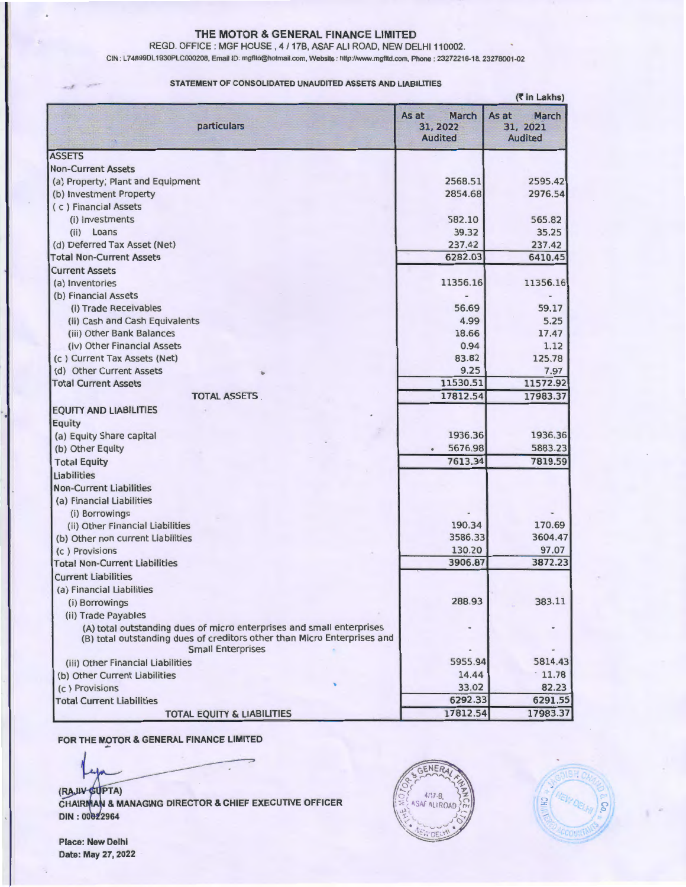REGO. OFFICE : MGF HOUSE , 4 / 17B, ASAF ALI ROAD, NEW DELHI 110002.

GIN : L74899DL 1930PLC000208, Email ID: mgfltd@hotmail.com, Website : http://www.mgfltd.com, Phone: 23272216-18, 23278001-02

#### STATEMENT OF CONSOLIDATED UNAUDITED ASSETS AND LIABILITIES

| (र in Lakhs)                                                                                                                                                                  |                                              |                                              |  |  |
|-------------------------------------------------------------------------------------------------------------------------------------------------------------------------------|----------------------------------------------|----------------------------------------------|--|--|
| particulars                                                                                                                                                                   | March<br>As at<br>31, 2022<br><b>Audited</b> | March<br>As at<br>31, 2021<br><b>Audited</b> |  |  |
| <b>ASSETS</b>                                                                                                                                                                 |                                              |                                              |  |  |
| <b>Non-Current Assets</b>                                                                                                                                                     |                                              |                                              |  |  |
| (a) Property, Plant and Equipment                                                                                                                                             | 2568.51                                      | 2595.42                                      |  |  |
| (b) Investment Property                                                                                                                                                       | 2854.68                                      | 2976.54                                      |  |  |
| (c) Financial Assets                                                                                                                                                          |                                              |                                              |  |  |
| (i) Investments                                                                                                                                                               | 582.10                                       | 565.82                                       |  |  |
| (ii) Loans                                                                                                                                                                    | 39.32                                        | 35.25                                        |  |  |
| (d) Deferred Tax Asset (Net)                                                                                                                                                  | 237.42                                       | 237.42                                       |  |  |
| <b>Total Non-Current Assets</b>                                                                                                                                               | 6282.03                                      | 6410.45                                      |  |  |
| <b>Current Assets</b>                                                                                                                                                         |                                              |                                              |  |  |
| (a) Inventories                                                                                                                                                               | 11356.16                                     | 11356.16                                     |  |  |
| (b) Financial Assets                                                                                                                                                          |                                              |                                              |  |  |
| (i) Trade Receivables                                                                                                                                                         | 56.69                                        | 59.17                                        |  |  |
| (ii) Cash and Cash Equivalents                                                                                                                                                | 4.99                                         | 5.25                                         |  |  |
| (iii) Other Bank Balances                                                                                                                                                     | 18.66                                        | 17.47                                        |  |  |
| (iv) Other Financial Assets                                                                                                                                                   | 0.94                                         | 1.12                                         |  |  |
| (c) Current Tax Assets (Net)                                                                                                                                                  | 83.82                                        | 125.78                                       |  |  |
| (d) Other Current Assets                                                                                                                                                      | 9.25                                         | 7.97                                         |  |  |
| <b>Total Current Assets</b>                                                                                                                                                   | 11530.51                                     | 11572.92                                     |  |  |
| <b>TOTAL ASSETS</b>                                                                                                                                                           | 17812.54                                     | 17983.37                                     |  |  |
| <b>EQUITY AND LIABILITIES</b>                                                                                                                                                 |                                              |                                              |  |  |
| Equity                                                                                                                                                                        |                                              |                                              |  |  |
| (a) Equity Share capital                                                                                                                                                      | 1936.36                                      | 1936.36                                      |  |  |
| (b) Other Equity                                                                                                                                                              | 5676.98                                      | 5883.23                                      |  |  |
| <b>Total Equity</b>                                                                                                                                                           | 7613.34                                      | 7819.59                                      |  |  |
| <b>Liabilities</b>                                                                                                                                                            |                                              |                                              |  |  |
| <b>Non-Current Liabilities</b>                                                                                                                                                |                                              |                                              |  |  |
|                                                                                                                                                                               |                                              |                                              |  |  |
| (a) Financial Liabilities                                                                                                                                                     |                                              |                                              |  |  |
| (i) Borrowings                                                                                                                                                                | 190.34                                       | 170.69                                       |  |  |
| (ii) Other Financial Liabilities                                                                                                                                              | 3586.33                                      | 3604.47                                      |  |  |
| (b) Other non current Liabilities                                                                                                                                             | 130.20                                       | 97.07                                        |  |  |
| (c) Provisions                                                                                                                                                                | 3906.87                                      | 3872.23                                      |  |  |
| <b>Total Non-Current Liabilities</b>                                                                                                                                          |                                              |                                              |  |  |
| <b>Current Liabilities</b>                                                                                                                                                    |                                              |                                              |  |  |
| (a) Financial Liabilities                                                                                                                                                     |                                              |                                              |  |  |
| (i) Borrowings                                                                                                                                                                | 288.93                                       | 383.11                                       |  |  |
| (ii) Trade Payables                                                                                                                                                           |                                              |                                              |  |  |
| (A) total outstanding dues of micro enterprises and small enterprises<br>(B) total outstanding dues of creditors other than Micro Enterprises and<br><b>Small Enterprises</b> |                                              |                                              |  |  |
| (iii) Other Financial Liabilities                                                                                                                                             | 5955.94                                      | 5814.43                                      |  |  |
| (b) Other Current Liabilities                                                                                                                                                 | 14.44                                        | 11.78                                        |  |  |
| (c) Provisions                                                                                                                                                                | 33.02                                        | 82.23                                        |  |  |
| <b>Total Current Liabilities</b>                                                                                                                                              | 6292.33                                      | 6291.55                                      |  |  |
|                                                                                                                                                                               | 17812.54                                     | 17983.37                                     |  |  |
| TOTAL EQUITY & LIABILITIES                                                                                                                                                    |                                              |                                              |  |  |

FOR THE MOTOR & GENERAL FINANCE LIMITED

PTA)

A & MANAGING DIRECTOR & CHIEF EXECUTIVE OFFICER





Place: New Delhi Date: May 27, 2022